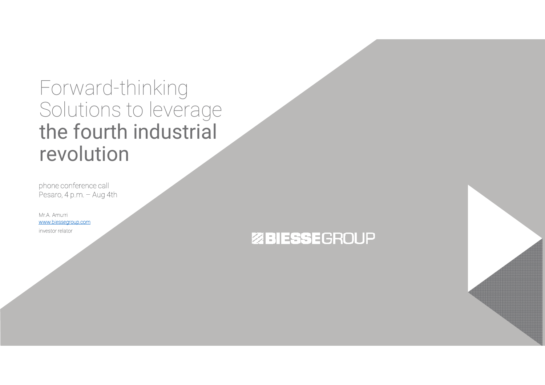## Forward-thinking Solutions to leverage the fourth industrial revolution

phone conference call Pesaro, 4 p.m. – Aug 4th

Mr.A. Amurri www.biessegroup.cominvestor relator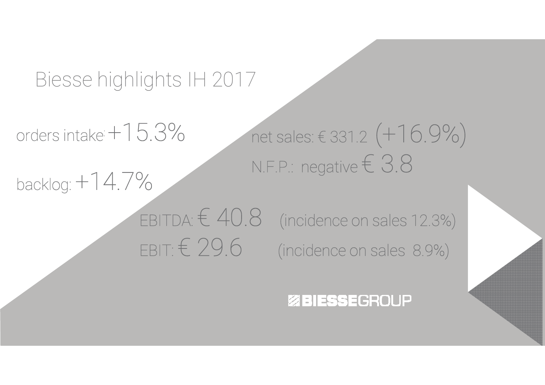## Biesse highlights IH 2017

ordersis intake  $+15.3\%$ 

backlog: +14.7%

net sales: € $\in$  331.2  $(+16.9\%)$ N.F.P.: negative  $\in$   $3.8$ 

### EBITDA:  $\in$  40.8 (incidence on sales 12.3%) EBIT:  $\in$  29.6 (incidence on sales 8.9%)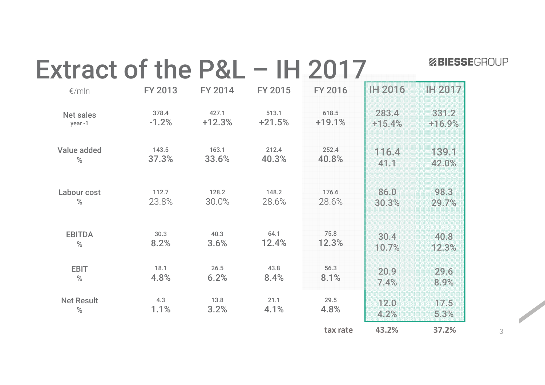| Extract of the P&L - IH 2017 |                |                |                |                |          | <b>ZBIESSEGROUP</b> |   |
|------------------------------|----------------|----------------|----------------|----------------|----------|---------------------|---|
| €/mln                        | <b>FY 2013</b> | <b>FY 2014</b> | <b>FY 2015</b> | <b>FY 2016</b> | IH 2016  | IH 2017             |   |
| <b>Net sales</b>             | 378.4          | 427.1          | 513.1          | 618.5          | 283.4    | 331.2               |   |
| year-1                       | $-1.2%$        | $+12.3%$       | $+21.5%$       | $+19.1%$       | $+15.4%$ | $+16.9%$            |   |
| Value added                  | 143.5          | 163.1          | 212.4          | 252.4          | 116.4    | 189.1               |   |
| $\%$                         | 37.3%          | 33.6%          | 40.3%          | 40.8%          | 41.1     | 42.0%               |   |
| Labour cost                  | 112.7          | 128.2          | 148.2          | 176.6          | 86.0     | 98.3                |   |
| $\%$                         | 23.8%          | 30.0%          | 28.6%          | 28.6%          | 30.3%    | 29.7%               |   |
| <b>EBITDA</b>                | 30.3           | 40.3           | 64.1           | 75.8           | 30.4     | 40.8                |   |
| $\%$                         | 8.2%           | 3.6%           | 12.4%          | 12.3%          | 10.7%    | 12.3%               |   |
| <b>EBIT</b>                  | 18.1           | 26.5           | 43.8           | 56.3           | 20.9     | 29.6                |   |
| $\%$                         | 4.8%           | 6.2%           | 8.4%           | 8.1%           | 7.4%     | 8.9%                |   |
| <b>Net Result</b>            | 4.3            | 13.8           | 21.1           | 29.5           | 12.0     | 17.5                |   |
| $\%$                         | 1.1%           | 3.2%           | 4.1%           | 4.8%           | 4.2%     | 5.3%                |   |
|                              |                |                |                | tax rate       | 43.2%    | 37.2%               | 3 |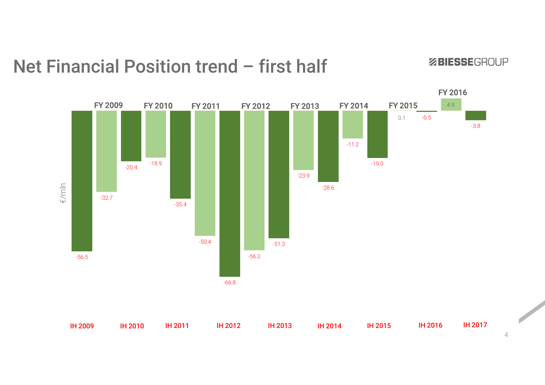### Net Financial Position trend – first half

-20.4 -18.9 -23.9-28.6-11.2-19.00.1 -0.5 4.9-3.8/mln €/mlnFY 2009 FY 2010 FY 2011 FY 2012 FY 2013 FY 2014 FY 2015 FY 2016-56.5-32.7-35.4-50.4-66.8-56.2-51.3

ZBIESSEGROUP

4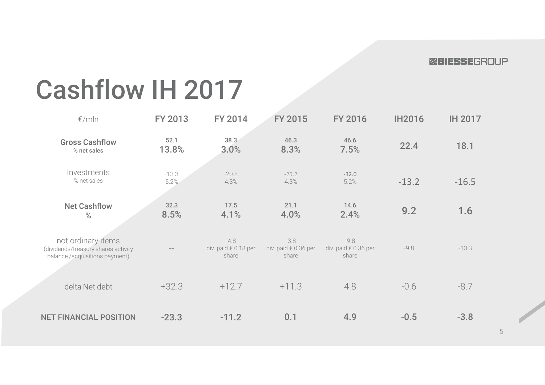# Cashflow IH 2017

| $\epsilon$ /mln                                                                             | <b>FY 2013</b>  | <b>FY 2014</b>                          | <b>FY 2015</b>                          | <b>FY 2016</b>                          | <b>IH2016</b> | <b>IH 2017</b> |
|---------------------------------------------------------------------------------------------|-----------------|-----------------------------------------|-----------------------------------------|-----------------------------------------|---------------|----------------|
| <b>Gross Cashflow</b><br>% net sales                                                        | 52.1<br>13.8%   | 38.3<br>3.0%                            | 46.3<br>8.3%                            | 46.6<br>7.5%                            | 22.4          | 18.1           |
| Investments<br>% net sales                                                                  | $-13.3$<br>5.2% | $-20.8$<br>4.3%                         | $-25.2$<br>4.3%                         | $-32.0$<br>5.2%                         | $-13.2$       | $-16.5$        |
| <b>Net Cashflow</b><br>%                                                                    | 32.3<br>8.5%    | 17.5<br>4.1%                            | 21.1<br>4.0%                            | 14.6<br>2.4%                            | 9.2           | 1.6            |
| not ordinary items<br>(dividends/treasury shares activity<br>balance /acquisitions payment) |                 | $-4.8$<br>div. paid € 0.18 per<br>share | $-3.8$<br>div. paid € 0.36 per<br>share | $-9.8$<br>div. paid € 0.36 per<br>share | $-9.8$        | $-10.3$        |
| delta Net debt                                                                              | $+32.3$         | $+12.7$                                 | $+11.3$                                 | 4.8                                     | $-0.6$        | $-8.7$         |
| <b>NET FINANCIAL POSITION</b>                                                               | $-23.3$         | $-11.2$                                 | 0.1                                     | 4.9                                     | $-0.5$        | $-3.8$         |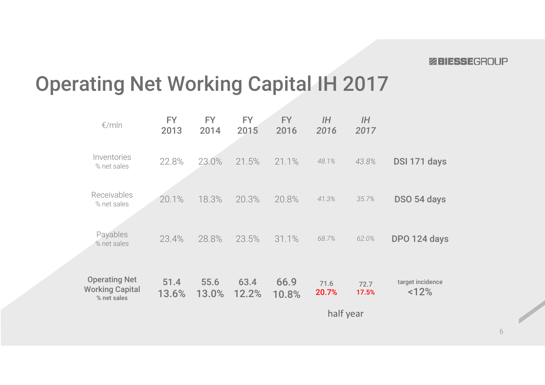# Operating Net Working Capital IH 2017

| $\epsilon$ /mln                                               | <b>FY</b><br>2013 | <b>FY</b><br>2014 | FY.<br>2015   | <b>FY</b><br>2016 | I H<br>2016   | I H<br>2017   |                          |  |  |
|---------------------------------------------------------------|-------------------|-------------------|---------------|-------------------|---------------|---------------|--------------------------|--|--|
| Inventories<br>% net sales                                    | 22.8%             | 23.0%             | 21.5%         | 21.1%             | 48.1%         | 43.8%         | DSI 171 days             |  |  |
| Receivables<br>% net sales                                    | 20.1%             | 18.3%             | 20.3%         | 20.8%             | 41.3%         | 35.7%         | DSO 54 days              |  |  |
| Payables<br>% net sales                                       | 23.4%             | 28.8%             | 23.5%         | 31.1%             | 68.7%         | 62.0%         | DPO 124 days             |  |  |
| <b>Operating Net</b><br><b>Working Capital</b><br>% net sales | 51.4<br>13.6%     | 55.6<br>13.0%     | 63.4<br>12.2% | 66.9<br>10.8%     | 71.6<br>20.7% | 72.7<br>17.5% | target incidence<br><12% |  |  |
|                                                               |                   |                   |               | half year         |               |               |                          |  |  |
|                                                               |                   |                   |               |                   |               |               |                          |  |  |

6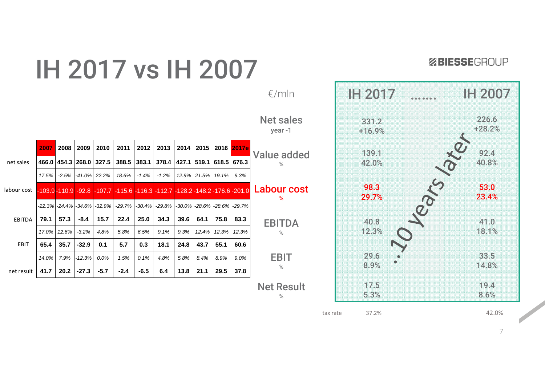

ZBIESSEGROUP



|             | 2007      | 2008    | 2009      | 2010                          | 2011                                                                                    | 2012      | 2013      | 2014  | 2015  | 2016  | 2017e                       |   |
|-------------|-----------|---------|-----------|-------------------------------|-----------------------------------------------------------------------------------------|-----------|-----------|-------|-------|-------|-----------------------------|---|
| net sales   | 466.0     | 454.3   | 268.0     | 327.5                         | 388.5                                                                                   | 383.1     | 378.4     | 427.1 | 519.1 | 618.5 | 676.3                       | V |
|             | 17.5%     | $-2.5%$ | $-41.0\%$ | 22.2%                         | 18.6%                                                                                   | $-1.4%$   | $-1.2%$   | 12.9% | 21.5% | 19.1% | 9.3%                        |   |
| labour cost |           |         |           |                               | $-103.9 - 110.9 - 92.8 - 107.7 - 115.6 - 116.3 - 112.7 - 128.2 - 148.2 - 176.6 - 201.0$ |           |           |       |       |       |                             |   |
|             | $-22.3\%$ |         |           | $-24.4\%$ $-34.6\%$ $-32.9\%$ | $-29.7%$                                                                                | $-30.4\%$ | $-29.8\%$ |       |       |       | -30.0% -28.6% -28.6% -29.7% |   |
| EBITDA      | 79.1      | 57.3    | $-8.4$    | 15.7                          | 22.4                                                                                    | 25.0      | 34.3      | 39.6  | 64.1  | 75.8  | 83.3                        |   |
|             | 17.0%     | 12.6%   | $-3.2%$   | 4.8%                          | 5.8%                                                                                    | 6.5%      | 9.1%      | 9.3%  | 12.4% | 12.3% | 12.3%                       |   |
| <b>EBIT</b> | 65.4      | 35.7    | $-32.9$   | 0.1                           | 5.7                                                                                     | 0.3       | 18.1      | 24.8  | 43.7  | 55.1  | 60.6                        |   |
|             | 14.0%     | 7.9%    | $-12.3%$  | $0.0\%$                       | 1.5%                                                                                    | 0.1%      | 4.8%      | 5.8%  | 8.4%  | 8.9%  | 9.0%                        |   |
| net result  | 41.7      | 20.2    | $-27.3$   | -5.7                          | $-2.4$                                                                                  | $-6.5$    | 6.4       | 13.8  | 21.1  | 29.5  | 37.8                        |   |

tax rate 37.2%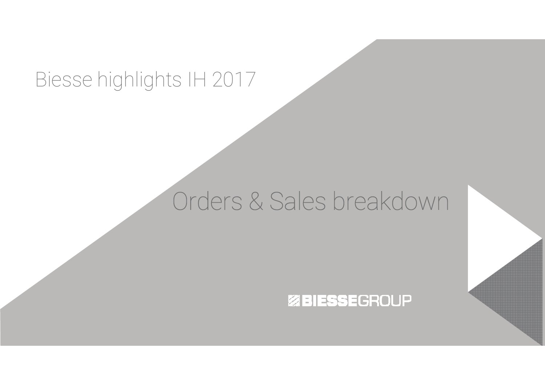## Biesse highlights IH 2017

# Orders & Sales breakdown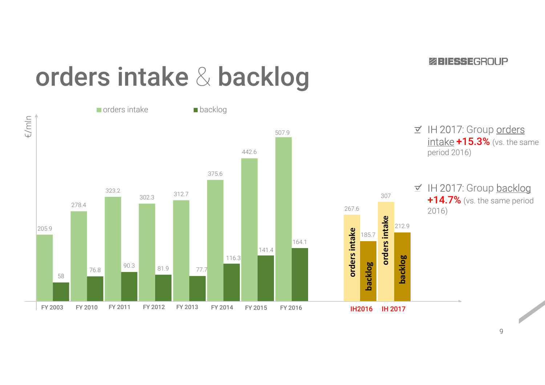#### **ZRIESSEGROUP**

# orders intake & backlog

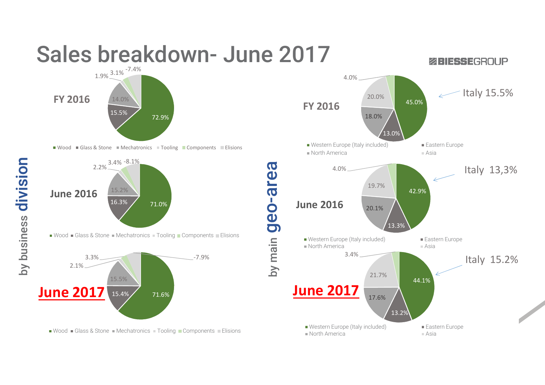

Wood  $\blacksquare$  Glass & Stone  $\blacksquare$  Mechatronics  $\blacksquare$  Tooling  $\blacksquare$  Components  $\blacksquare$  Elisions

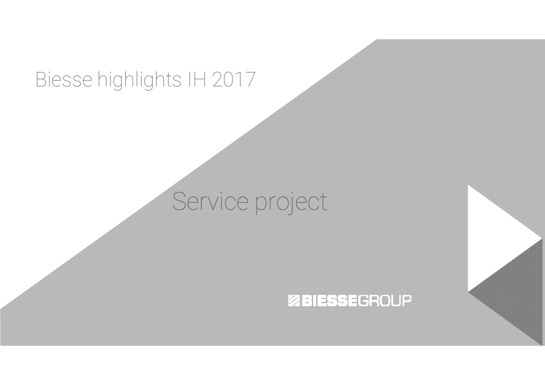## Biesse highlights IH 2017

## Service project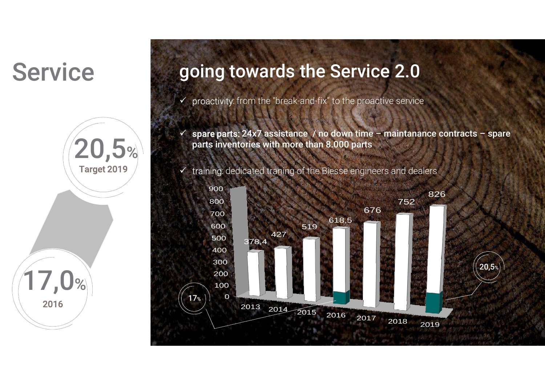## **Service**



### going towards the Service 2.0

- $\checkmark$ proactivity: from the "break-and-fix" to the proactive service
- $\checkmark$  spare parts: 24x7 assistance / no down time maintanance contracts spare parts inventories with more than 8.000 parts

 $\checkmark$  training: dedicated traning of the Biesse engineers and dealers

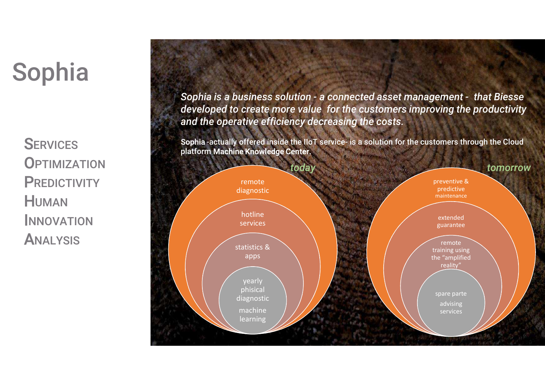# Sophia

**SERVICES OPTIMIZATION PREDICTIVITY** HUMAN**INNOVATION ANALYSIS** 

*Sophia is a business solution - a connected asset management - that Biesse developed to create more value for the customers improving the productivityand the operative efficiency decreasing the costs.*

Sophia -actually offered inside the IIoT service- is a solution for the customers through the Cloudplatform Machine Knowledge Center.

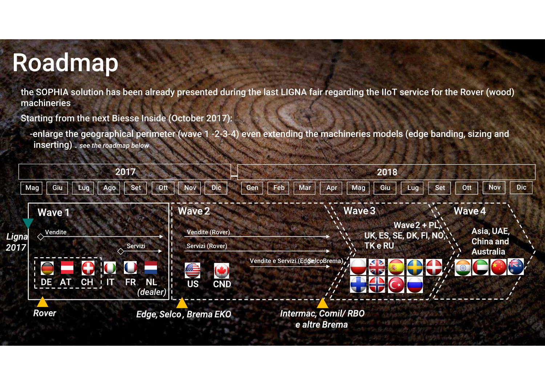## Roadmap

the SOPHIA solution has been already presented during the last LIGNA fair regarding the IIoT service for the Rover (wood) machineries

Starting from the next Biesse Inside (October 2017):

-enlarge the geographical perimeter (wave 1 -2-3-4) even extending the machineries models (edge banding, sizing and inserting) . *see the roadmap below*

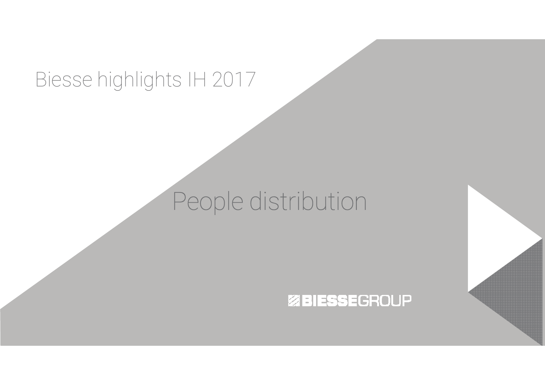## Biesse highlights IH 2017

## People distribution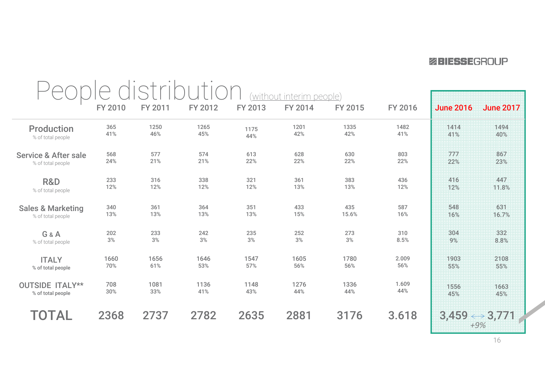|                                 | without interim people) |         |         |         |         |         |         |                  |                                        |
|---------------------------------|-------------------------|---------|---------|---------|---------|---------|---------|------------------|----------------------------------------|
|                                 | FY 2010                 | FY 2011 | FY 2012 | FY 2013 | FY 2014 | FY 2015 | FY 2016 | <b>June 2016</b> | <b>June 2017</b>                       |
| <b>Production</b>               | 365                     | 1250    | 1265    | 1175    | 1201    | 1335    | 1482    | 1414             | 1494                                   |
| % of total people               | 41%                     | 46%     | 45%     | 44%     | 42%     | 42%     | 41%     | 41%              | 40%                                    |
| <b>Service &amp; After sale</b> | 568                     | 577     | 574     | 613     | 628     | 630     | 803     | 777              | 867                                    |
| % of total people               | 24%                     | 21%     | 21%     | 22%     | 22%     | 22%     | 22%     | 22%              | 23%                                    |
| R&D                             | 233                     | 316     | 338     | 321     | 361     | 383     | 436     | 416              | 447                                    |
| % of total people               | 12%                     | 12%     | 12%     | 12%     | 13%     | 13%     | 12%     | 12%              | 11.8%                                  |
| <b>Sales &amp; Marketing</b>    | 340                     | 361     | 364     | 351     | 433     | 435     | 587     | 548              | 631                                    |
| % of total people               | 13%                     | 13%     | 13%     | 13%     | 15%     | 15.6%   | 16%     | 16%              | 16.7%                                  |
| G&A                             | 202                     | 233     | 242     | 235     | 252     | 273     | 310     | 304              | 332                                    |
| % of total people               | $3\%$                   | $3%$    | $3\%$   | $3%$    | $3\%$   | $3\%$   | 8.5%    | 9%               | 8.8%                                   |
| <b>ITALY</b>                    | 1660                    | 1656    | 1646    | 1547    | 1605    | 1780    | 2.009   | 1903             | 2108                                   |
| % of total people               | 70%                     | 61%     | 53%     | 57%     | 56%     | 56%     | 56%     | 55%              | 55%                                    |
| <b>OUTSIDE ITALY**</b>          | 708                     | 1081    | 1136    | 1148    | 1276    | 1336    | 1.609   | 1556             | 1663                                   |
| % of total people               | 30%                     | 33%     | 41%     | 43%     | 44%     | 44%     | 44%     | 45%              | 45%                                    |
| TOTAL                           | 2368                    | 2737    | 2782    | 2635    | 2881    | 3176    | 3.618   |                  | $3,459 \leftrightarrow 3,771$<br>$+9%$ |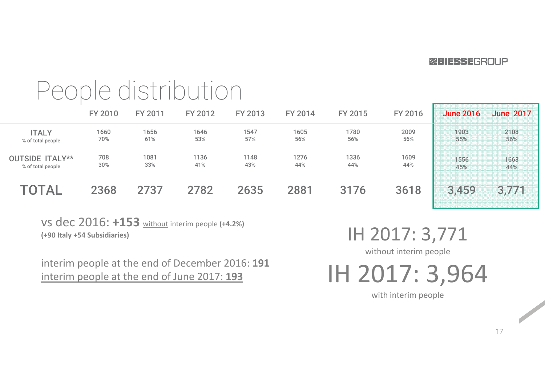#### **ZEIFSSEGROUP**

## People distribution

|                                             | <b>FY 2010</b> | <b>FY 2011</b> | FY 2012     | FY 2013     | FY 2014     | FY 2015     | <b>FY 2016</b> | <b>June 2016</b>                 | <b>June 2017</b>                                         |
|---------------------------------------------|----------------|----------------|-------------|-------------|-------------|-------------|----------------|----------------------------------|----------------------------------------------------------|
| <b>ITALY</b><br>% of total people           | 1660<br>70%    | 1656<br>61%    | 1646<br>53% | 1547<br>57% | 1605<br>56% | 1780<br>56% | 2009<br>56%    | 1903<br>-----------------<br>55% | 2108<br>,,,,,,,,,,,<br>56%<br>,,,,,,,,,,,,,,,,,,,,,,,,,, |
| <b>OUTSIDE ITALY**</b><br>% of total people | 708<br>$30\%$  | 1081<br>33%    | 1136<br>41% | 1148<br>43% | 1276<br>44% | 1336<br>44% | 1609<br>44%    | 556<br>45%                       | 1663<br>44%                                              |
| TOTAL                                       | 2368           | 2737           | 2782        | 2635        | 2881        | 3176        | 3618           | 3.459                            | 3.771                                                    |

vs dec 2016: **+153** without interim people **(+4.2%) (+90 Italy +54 Subsidiaries)**

interim people at the end of December 2016: **<sup>191</sup>**interim people at the end of June 2017: **<sup>193</sup>**

IH 2017: 3,771

without interim people

IH 2017: 3,964

with interim people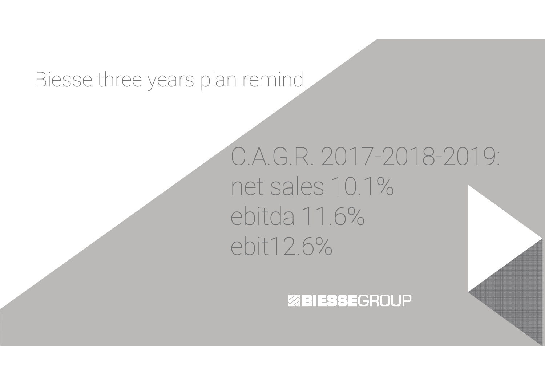## Biesse three years plan remind

## C.A.G.R. 2017-2018-2019: net sales 10.1%ebitda 11.6%ebit12.6%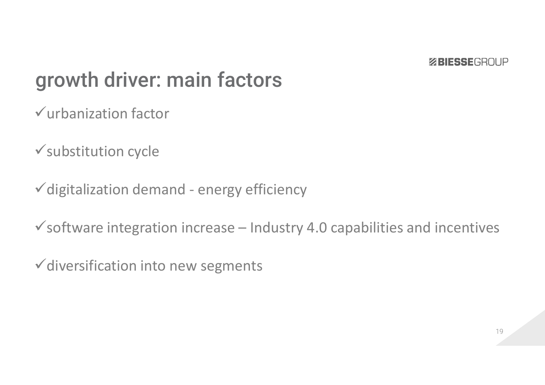## growth driver: main factors

urbanization factor

 $\checkmark$  substitution cycle

 $\checkmark$  digitalization demand - energy efficiency

 $\checkmark$  software integration increase – Industry 4.0 capabilities and incentives

 $\checkmark$  diversification into new segments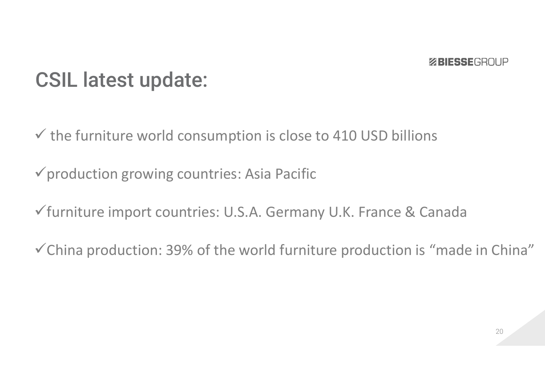## CSIL latest update:

 $\checkmark$  the furniture world consumption is close to 410 USD billions

production growing countries: Asia Pacific

furniture import countries: U.S.A. Germany U.K. France & Canada

China production: 39% of the world furniture production is "made in China"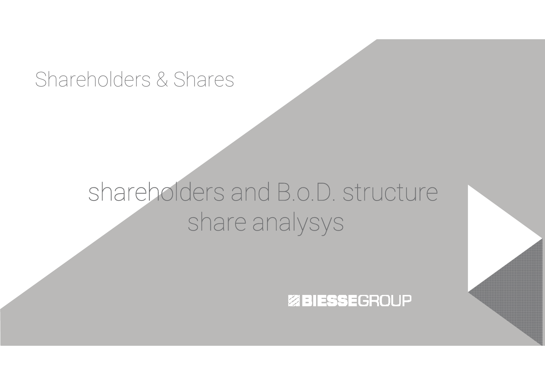## Shareholders & Shares

## shareholders and B.o.D. structureshare analysys